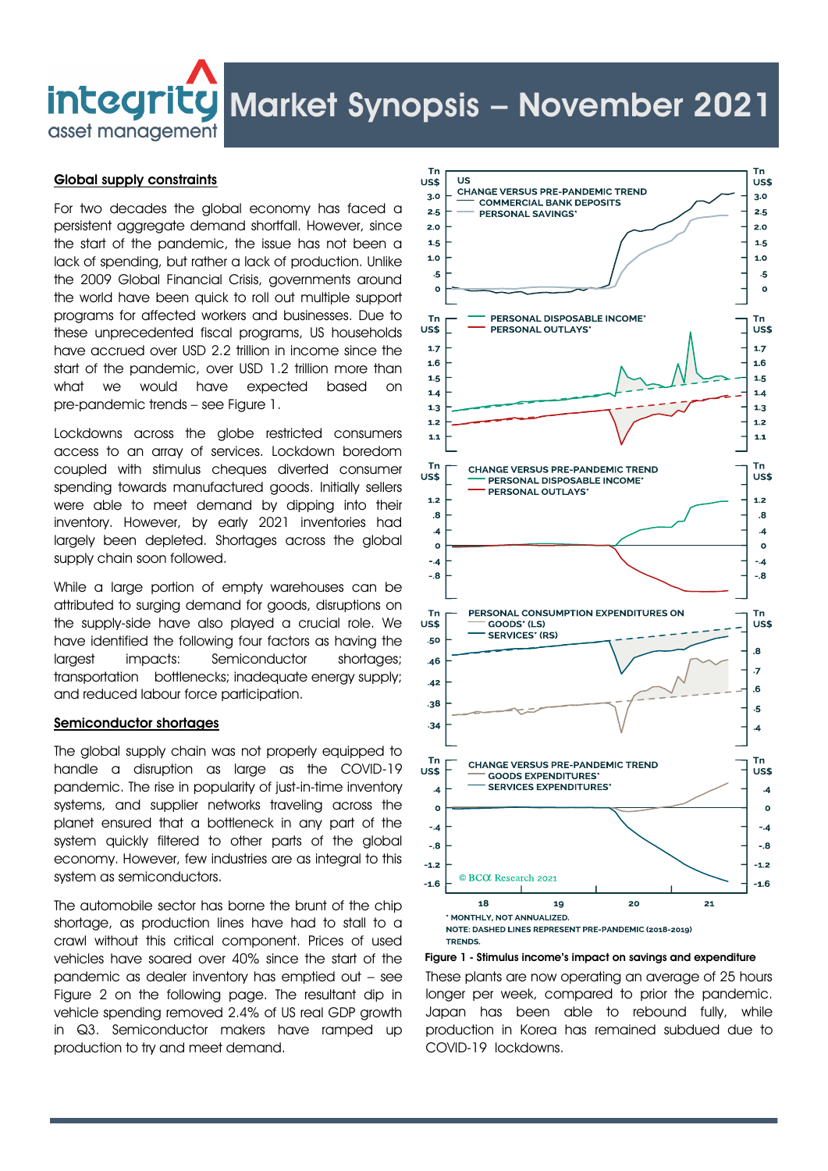# integritg Market Synopsis - November 2021

asset management

# Global supply constraints

For two decades the global economy has faced a persistent aggregate demand shortfall. However, since the start of the pandemic, the issue has not been a lack of spending, but rather a lack of production. Unlike the 2009 Global Financial Crisis, governments around the world have been quick to roll out multiple support programs for affected workers and businesses. Due to these unprecedented fiscal programs, US households have accrued over USD 2.2 trillion in income since the start of the pandemic, over USD 1.2 trillion more than what we would have expected based on pre-pandemic trends – see Figure 1.

Lockdowns across the globe restricted consumers access to an array of services. Lockdown boredom coupled with stimulus cheques diverted consumer spending towards manufactured goods. Initially sellers were able to meet demand by dipping into their inventory. However, by early 2021 inventories had largely been depleted. Shortages across the global supply chain soon followed.

While a large portion of empty warehouses can be attributed to surging demand for goods, disruptions on the supply-side have also played a crucial role. We have identified the following four factors as having the largest impacts: Semiconductor shortages; transportation bottlenecks; inadequate energy supply; and reduced labour force participation.

## Semiconductor shortages

The global supply chain was not properly equipped to handle a disruption as large as the COVID-19 pandemic. The rise in popularity of just-in-time inventory systems, and supplier networks traveling across the planet ensured that a bottleneck in any part of the system quickly filtered to other parts of the global economy. However, few industries are as integral to this system as semiconductors.

The automobile sector has borne the brunt of the chip shortage, as production lines have had to stall to a crawl without this critical component. Prices of used vehicles have soared over 40% since the start of the pandemic as dealer inventory has emptied out – see Figure 2 on the following page. The resultant dip in vehicle spending removed 2.4% of US real GDP growth in Q3. Semiconductor makers have ramped up production to try and meet demand.



Figure 1 - Stimulus income's impact on savings and expenditure

These plants are now operating an average of 25 hours longer per week, compared to prior the pandemic. Japan has been able to rebound fully, while production in Korea has remained subdued due to COVID-19 lockdowns.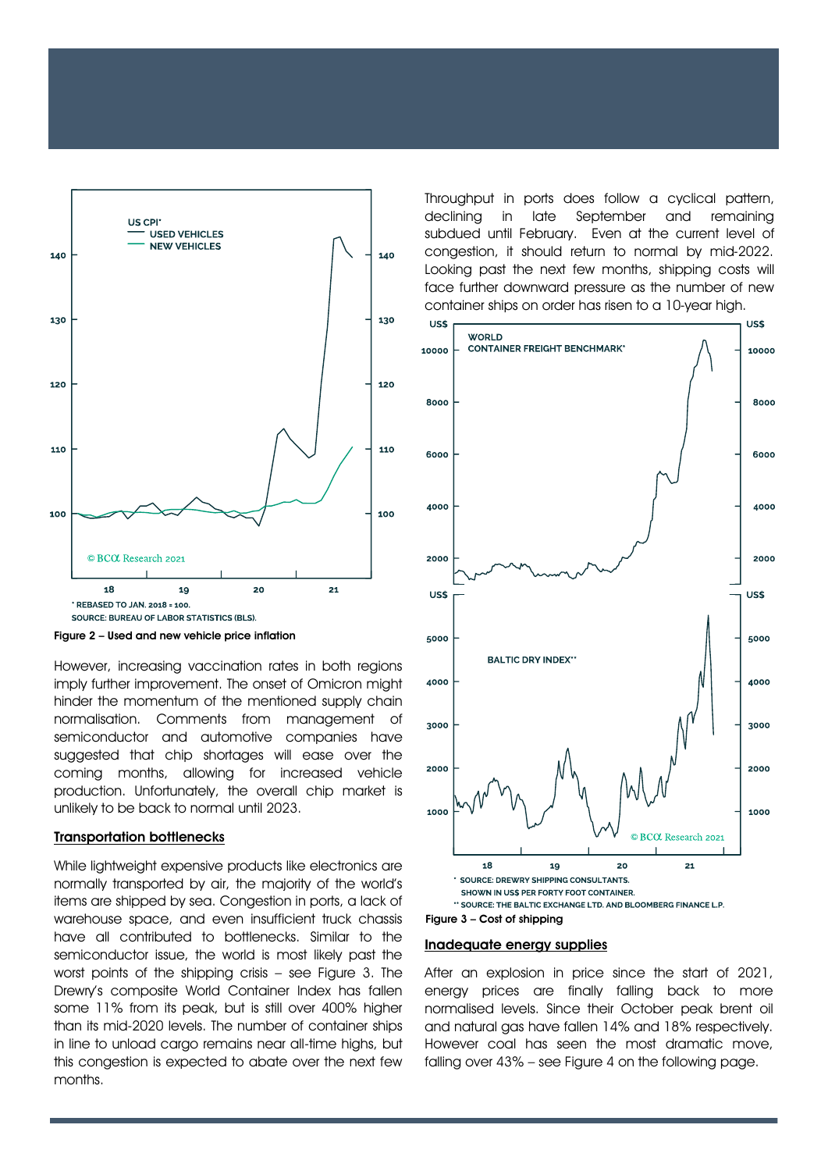

Figure 2 – Used and new vehicle price inflation

However, increasing vaccination rates in both regions imply further improvement. The onset of Omicron might hinder the momentum of the mentioned supply chain normalisation. Comments from management of semiconductor and automotive companies have suggested that chip shortages will ease over the coming months, allowing for increased vehicle production. Unfortunately, the overall chip market is unlikely to be back to normal until 2023.

#### Transportation bottlenecks

While lightweight expensive products like electronics are normally transported by air, the majority of the world's items are shipped by sea. Congestion in ports, a lack of warehouse space, and even insufficient truck chassis have all contributed to bottlenecks. Similar to the semiconductor issue, the world is most likely past the worst points of the shipping crisis – see Figure 3. The Drewry's composite World Container Index has fallen some 11% from its peak, but is still over 400% higher than its mid-2020 levels. The number of container ships in line to unload cargo remains near all-time highs, but this congestion is expected to abate over the next few months.

Throughput in ports does follow a cyclical pattern, declining in late September and remaining subdued until February. Even at the current level of congestion, it should return to normal by mid-2022. Looking past the next few months, shipping costs will face further downward pressure as the number of new container ships on order has risen to a 10-year high.



## Figure 3 – Cost of shipping

#### Inadequate energy supplies

After an explosion in price since the start of 2021, energy prices are finally falling back to more normalised levels. Since their October peak brent oil and natural gas have fallen 14% and 18% respectively. However coal has seen the most dramatic move, falling over 43% – see Figure 4 on the following page.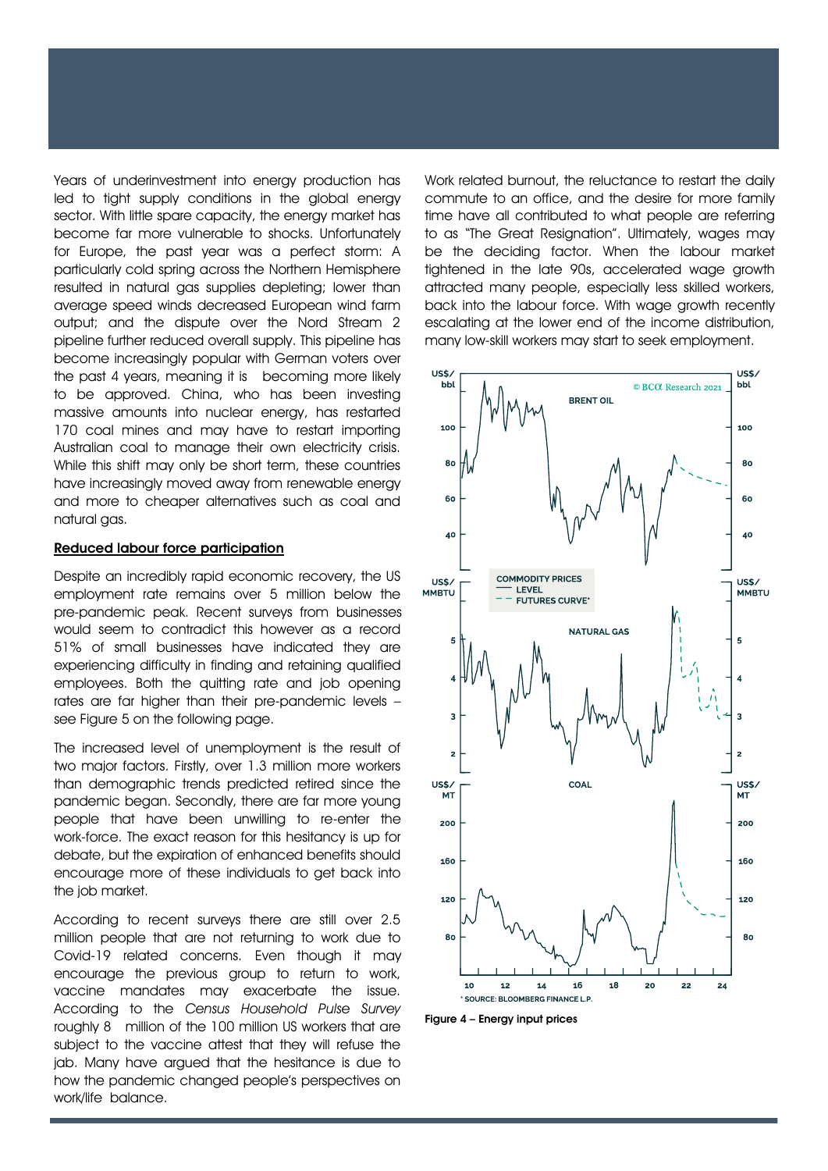Years of underinvestment into energy production has led to tight supply conditions in the global energy sector. With little spare capacity, the energy market has become far more vulnerable to shocks. Unfortunately for Europe, the past year was a perfect storm: A particularly cold spring across the Northern Hemisphere resulted in natural gas supplies depleting; lower than average speed winds decreased European wind farm output; and the dispute over the Nord Stream 2 pipeline further reduced overall supply. This pipeline has become increasingly popular with German voters over the past 4 years, meaning it is becoming more likely to be approved. China, who has been investing massive amounts into nuclear energy, has restarted 170 coal mines and may have to restart importing Australian coal to manage their own electricity crisis. While this shift may only be short term, these countries have increasingly moved away from renewable energy and more to cheaper alternatives such as coal and natural gas.

### Reduced labour force participation

Despite an incredibly rapid economic recovery, the US employment rate remains over 5 million below the pre-pandemic peak. Recent surveys from businesses would seem to contradict this however as a record 51% of small businesses have indicated they are experiencing difficulty in finding and retaining qualified employees. Both the quitting rate and job opening rates are far higher than their pre-pandemic levels – see Figure 5 on the following page.

The increased level of unemployment is the result of two major factors. Firstly, over 1.3 million more workers than demographic trends predicted retired since the pandemic began. Secondly, there are far more young people that have been unwilling to re-enter the work-force. The exact reason for this hesitancy is up for debate, but the expiration of enhanced benefits should encourage more of these individuals to get back into the job market.

According to recent surveys there are still over 2.5 million people that are not returning to work due to Covid-19 related concerns. Even though it may encourage the previous group to return to work, vaccine mandates may exacerbate the issue. According to the *Census Household Pulse Survey* roughly 8 million of the 100 million US workers that are subject to the vaccine attest that they will refuse the jab. Many have argued that the hesitance is due to how the pandemic changed people's perspectives on work/life balance.

Work related burnout, the reluctance to restart the daily commute to an office, and the desire for more family time have all contributed to what people are referring to as "The Great Resignation". Ultimately, wages may be the deciding factor. When the labour market tightened in the late 90s, accelerated wage growth attracted many people, especially less skilled workers, back into the labour force. With wage growth recently escalating at the lower end of the income distribution, many low-skill workers may start to seek employment.



Figure 4 – Energy input prices